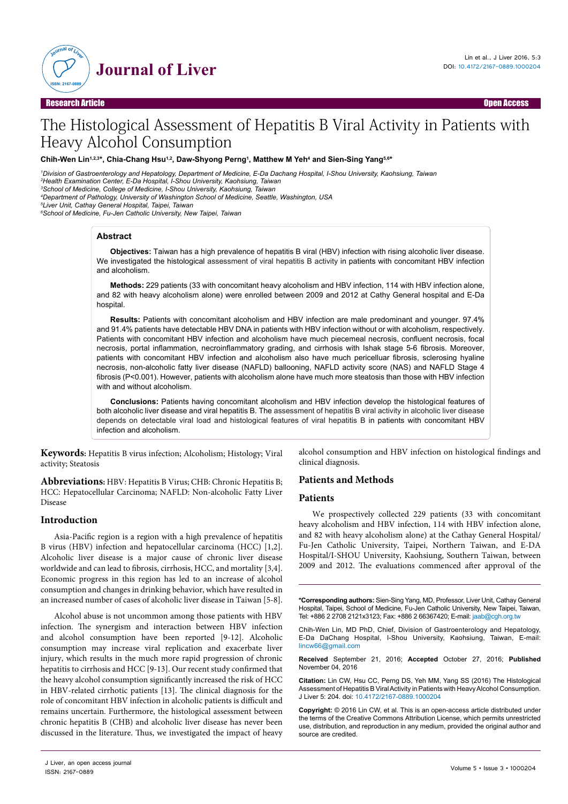

Research Article Open Access

# The Histological Assessment of Hepatitis B Viral Activity in Patients with Heavy Alcohol Consumption

**Chih-Wen Lin1,2,3\*, Chia-Chang Hsu1,2, Daw-Shyong Perng1 , Matthew M Yeh4 and Sien-Sing Yang5,6\***

*1 Division of Gastroenterology and Hepatology, Department of Medicine, E-Da Dachang Hospital, I-Shou University, Kaohsiung, Taiwan*

*2 Health Examination Center, E-Da Hospital, I-Shou University, Kaohsiung, Taiwan*

*3 School of Medicine, College of Medicine, I-Shou University, Kaohsiung, Taiwan*

*4 Department of Pathology, University of Washington School of Medicine, Seattle, Washington, USA*

*5 Liver Unit, Cathay General Hospital, Taipei, Taiwan*

*6 School of Medicine, Fu-Jen Catholic University, New Taipei, Taiwan*

### **Abstract**

**Objectives:** Taiwan has a high prevalence of hepatitis B viral (HBV) infection with rising alcoholic liver disease. We investigated the histological assessment of viral hepatitis B activity in patients with concomitant HBV infection and alcoholism.

**Methods:** 229 patients (33 with concomitant heavy alcoholism and HBV infection, 114 with HBV infection alone, and 82 with heavy alcoholism alone) were enrolled between 2009 and 2012 at Cathy General hospital and E-Da hospital

**Results:** Patients with concomitant alcoholism and HBV infection are male predominant and younger. 97.4% and 91.4% patients have detectable HBV DNA in patients with HBV infection without or with alcoholism, respectively. Patients with concomitant HBV infection and alcoholism have much piecemeal necrosis, confluent necrosis, focal necrosis, portal inflammation, necroinflammatory grading, and cirrhosis with Ishak stage 5-6 fibrosis. Moreover, patients with concomitant HBV infection and alcoholism also have much pericelluar fibrosis, sclerosing hyaline necrosis, non-alcoholic fatty liver disease (NAFLD) ballooning, NAFLD activity score (NAS) and NAFLD Stage 4 fibrosis (P<0.001). However, patients with alcoholism alone have much more steatosis than those with HBV infection with and without alcoholism.

**Conclusions:** Patients having concomitant alcoholism and HBV infection develop the histological features of both alcoholic liver disease and viral hepatitis B. The assessment of hepatitis B viral activity in alcoholic liver disease depends on detectable viral load and histological features of viral hepatitis B in patients with concomitant HBV infection and alcoholism.

**Keywords:** Hepatitis B virus infection; Alcoholism; Histology; Viral activity; Steatosis

**Abbreviations:** HBV: Hepatitis B Virus; CHB: Chronic Hepatitis B; HCC: Hepatocellular Carcinoma; NAFLD: Non-alcoholic Fatty Liver Disease

## **Introduction**

Asia-Pacific region is a region with a high prevalence of hepatitis B virus (HBV) infection and hepatocellular carcinoma (HCC) [1,2]. Alcoholic liver disease is a major cause of chronic liver disease worldwide and can lead to fibrosis, cirrhosis, HCC, and mortality [3,4]. Economic progress in this region has led to an increase of alcohol consumption and changes in drinking behavior, which have resulted in an increased number of cases of alcoholic liver disease in Taiwan [5-8].

Alcohol abuse is not uncommon among those patients with HBV infection. The synergism and interaction between HBV infection and alcohol consumption have been reported [9-12]. Alcoholic consumption may increase viral replication and exacerbate liver injury, which results in the much more rapid progression of chronic hepatitis to cirrhosis and HCC [9-13]. Our recent study confirmed that the heavy alcohol consumption significantly increased the risk of HCC in HBV-related cirrhotic patients [13]. The clinical diagnosis for the role of concomitant HBV infection in alcoholic patients is difficult and remains uncertain. Furthermore, the histological assessment between chronic hepatitis B (CHB) and alcoholic liver disease has never been discussed in the literature. Thus, we investigated the impact of heavy alcohol consumption and HBV infection on histological findings and clinical diagnosis.

## **Patients and Methods**

#### **Patients**

We prospectively collected 229 patients (33 with concomitant heavy alcoholism and HBV infection, 114 with HBV infection alone, and 82 with heavy alcoholism alone) at the Cathay General Hospital/ Fu-Jen Catholic University, Taipei, Northern Taiwan, and E-DA Hospital/I-SHOU University, Kaohsiung, Southern Taiwan, between 2009 and 2012. The evaluations commenced after approval of the

**\*Corresponding authors:** Sien-Sing Yang, MD, Professor, Liver Unit, Cathay General Hospital, Taipei, School of Medicine, Fu-Jen Catholic University, New Taipei, Taiwan, Tel: +886 2 2708 2121x3123; Fax: +886 2 66367420; E-mail: jaab@cgh.org.tw

Chih-Wen Lin, MD PhD, Chief, Division of Gastroenterology and Hepatology, E-Da DaChang Hospital, I-Shou University, Kaohsiung, Taiwan, E-mail: lincw66@gmail.com

**Received** September 21, 2016; **Accepted** October 27, 2016; **Published** November 04, 2016

**Citation:** Lin CW, Hsu CC, Perng DS, Yeh MM, Yang SS (2016) The Histological Assessment of Hepatitis B Viral Activity in Patients with Heavy Alcohol Consumption. J Liver 5: 204. doi: 10.4172/2167-0889.1000204

**Copyright:** © 2016 Lin CW, et al. This is an open-access article distributed under the terms of the Creative Commons Attribution License, which permits unrestricted use, distribution, and reproduction in any medium, provided the original author and source are credited.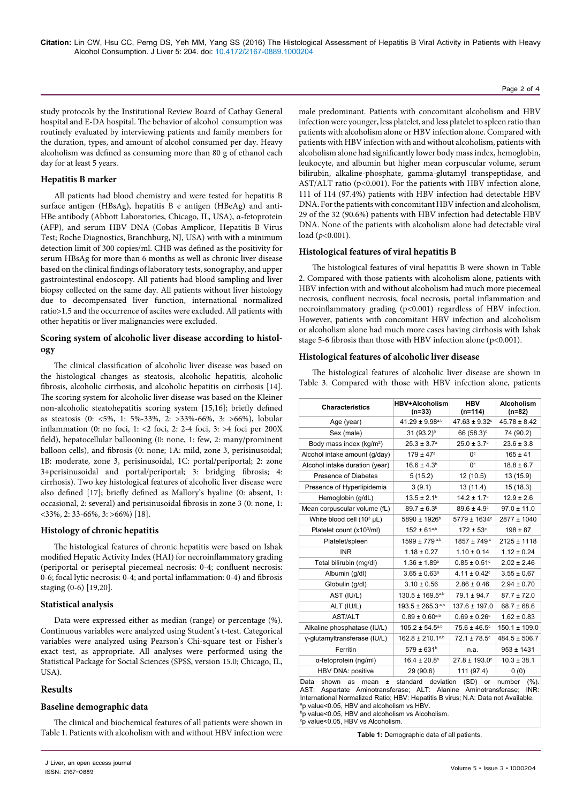## Page 2 of 4

study protocols by the Institutional Review Board of Cathay General hospital and E-DA hospital. The behavior of alcohol consumption was routinely evaluated by interviewing patients and family members for the duration, types, and amount of alcohol consumed per day. Heavy alcoholism was defined as consuming more than 80 g of ethanol each day for at least 5 years.

## **Hepatitis B marker**

All patients had blood chemistry and were tested for hepatitis B surface antigen (HBsAg), hepatitis B e antigen (HBeAg) and anti-HBe antibody (Abbott Laboratories, Chicago, IL, USA), α-fetoprotein (AFP), and serum HBV DNA (Cobas Amplicor, Hepatitis B Virus Test; Roche Diagnostics, Branchburg, NJ, USA) with with a minimum detection limit of 300 copies/ml. CHB was defined as the positivity for serum HBsAg for more than 6 months as well as chronic liver disease based on the clinical findings of laboratory tests, sonography, and upper gastrointestinal endoscopy. All patients had blood sampling and liver biopsy collected on the same day. All patients without liver histology due to decompensated liver function, international normalized ratio>1.5 and the occurrence of ascites were excluded. All patients with other hepatitis or liver malignancies were excluded.

## **Scoring system of alcoholic liver disease according to histology**

The clinical classification of alcoholic liver disease was based on the histological changes as steatosis, alcoholic hepatitis, alcoholic fibrosis, alcoholic cirrhosis, and alcoholic hepatitis on cirrhosis [14]. The scoring system for alcoholic liver disease was based on the Kleiner non-alcoholic steatohepatitis scoring system [15,16]; briefly defined as steatosis (0: <5%, 1: 5%-33%, 2: >33%-66%, 3: >66%), lobular inflammation (0: no foci, 1: <2 foci, 2: 2-4 foci, 3: >4 foci per 200X field), hepatocellular ballooning (0: none, 1: few, 2: many/prominent balloon cells), and fibrosis (0: none; 1A: mild, zone 3, perisinusoidal; 1B: moderate, zone 3, perisinusoidal, 1C: portal/periportal; 2: zone 3+perisinusoidal and portal/periportal; 3: bridging fibrosis; 4: cirrhosis). Two key histological features of alcoholic liver disease were also defined [17]; briefly defined as Mallory's hyaline (0: absent, 1: occasional, 2: several) and perisinusoidal fibrosis in zone 3 (0: none, 1:  $\langle 33\%, 2: 33-66\%, 3: 566\% \rangle$  [18].

## **Histology of chronic hepatitis**

The histological features of chronic hepatitis were based on Ishak modified Hepatic Activity Index (HAI) for necroinflammatory grading (periportal or periseptal piecemeal necrosis: 0-4; confluent necrosis: 0-6; focal lytic necrosis: 0-4; and portal inflammation: 0-4) and fibrosis staging (0-6) [19,20].

#### **Statistical analysis**

Data were expressed either as median (range) or percentage (%). Continuous variables were analyzed using Student's t-test. Categorical variables were analyzed using Pearson's Chi-square test or Fisher's exact test, as appropriate. All analyses were performed using the Statistical Package for Social Sciences (SPSS, version 15.0; Chicago, IL, USA).

## **Results**

#### **Baseline demographic data**

The clinical and biochemical features of all patients were shown in Table 1. Patients with alcoholism with and without HBV infection were

male predominant. Patients with concomitant alcoholism and HBV infection were younger, less platelet, and less platelet to spleen ratio than patients with alcoholism alone or HBV infection alone. Compared with patients with HBV infection with and without alcoholism, patients with alcoholism alone had significantly lower body mass index, hemoglobin, leukocyte, and albumin but higher mean corpuscular volume, serum bilirubin, alkaline-phosphate, gamma-glutamyl transpeptidase, and AST/ALT ratio (p<0.001). For the patients with HBV infection alone, 111 of 114 (97.4%) patients with HBV infection had detectable HBV DNA. For the patients with concomitant HBV infection and alcoholism, 29 of the 32 (90.6%) patients with HBV infection had detectable HBV DNA. None of the patients with alcoholism alone had detectable viral load (*p*<0.001).

## **Histological features of viral hepatitis B**

The histological features of viral hepatitis B were shown in Table 2. Compared with those patients with alcoholism alone, patients with HBV infection with and without alcoholism had much more piecemeal necrosis, confluent necrosis, focal necrosis, portal inflammation and necroinflammatory grading (p<0.001) regardless of HBV infection. However, patients with concomitant HBV infection and alcoholism or alcoholism alone had much more cases having cirrhosis with Ishak stage 5-6 fibrosis than those with HBV infection alone (p<0.001).

### **Histological features of alcoholic liver disease**

The histological features of alcoholic liver disease are shown in Table 3. Compared with those with HBV infection alone, patients

| <b>Characteristics</b>                                                                                                                                                                                                                                          | <b>HBV+Alcoholism</b><br>$(n=33)$ | <b>HBV</b><br>$(n=114)$       | <b>Alcoholism</b><br>$(n=82)$ |  |  |
|-----------------------------------------------------------------------------------------------------------------------------------------------------------------------------------------------------------------------------------------------------------------|-----------------------------------|-------------------------------|-------------------------------|--|--|
| Age (year)                                                                                                                                                                                                                                                      | $41.29 \pm 9.98^{a,b}$            | $47.63 \pm 9.32$ <sup>c</sup> | $45.78 \pm 8.42$              |  |  |
| Sex (male)                                                                                                                                                                                                                                                      | $31 (93.2)^a$                     | 66 (58.3) <sup>c</sup>        | 74 (90.2)                     |  |  |
| Body mass index (kg/m <sup>2</sup> )                                                                                                                                                                                                                            | $25.3 \pm 3.7^a$                  | $25.0 \pm 3.7$ °              | $23.6 \pm 3.8$                |  |  |
| Alcohol intake amount (g/day)                                                                                                                                                                                                                                   | $179 \pm 47^{\circ}$              | 0 <sup>c</sup>                | $165 \pm 41$                  |  |  |
| Alcohol intake duration (year)                                                                                                                                                                                                                                  | $16.6 \pm 4.3^b$                  | 0 <sup>c</sup>                | $18.8 \pm 6.7$                |  |  |
| Presence of Diabetes                                                                                                                                                                                                                                            | 5(15.2)                           | 12 (10.5)                     | 13 (15.9)                     |  |  |
| Presence of Hyperlipidemia                                                                                                                                                                                                                                      | 3(9.1)                            | 13 (11.4)                     | 15(18.3)                      |  |  |
| Hemoglobin (g/dL)                                                                                                                                                                                                                                               | $13.5 \pm 2.1$ <sup>b</sup>       | $14.2 \pm 1.7$ °              | $12.9 \pm 2.6$                |  |  |
| Mean corpuscular volume (fL)                                                                                                                                                                                                                                    | $89.7 \pm 6.3^b$                  | $89.6 \pm 4.9^{\circ}$        | $97.0 \pm 11.0$               |  |  |
| White blood cell $(10^3 \mu L)$                                                                                                                                                                                                                                 | 5890 ± 1926 <sup>b</sup>          | 5779 ± 1634°                  | 2877 ± 1040                   |  |  |
| Platelet count (x103/ml)                                                                                                                                                                                                                                        | $152 \pm 61^{a,b}$                | $172 \pm 53^{\circ}$          | $198 \pm 87$                  |  |  |
| Platelet/spleen                                                                                                                                                                                                                                                 | 1599 ± 779 a,b                    | 1857 ± 749 <sup>c</sup>       | $2125 \pm 1118$               |  |  |
| <b>INR</b>                                                                                                                                                                                                                                                      | $1.18 \pm 0.27$                   | $1.10 \pm 0.14$               | $1.12 \pm 0.24$               |  |  |
| Total bilirubin (mg/dl)                                                                                                                                                                                                                                         | $1.36 \pm 1.89$ <sup>b</sup>      | $0.85 \pm 0.51$ °             | $2.02 \pm 2.46$               |  |  |
| Albumin (g/dl)                                                                                                                                                                                                                                                  | $3.65 \pm 0.63$ <sup>a</sup>      | $4.11 \pm 0.42$ <sup>c</sup>  | $3.55 \pm 0.67$               |  |  |
| Globulin (g/dl)                                                                                                                                                                                                                                                 | $3.10 \pm 0.56$                   | $2.86 \pm 0.46$               | $2.94 \pm 0.70$               |  |  |
| AST (IU/L)                                                                                                                                                                                                                                                      | $130.5 \pm 169.5^{a,b}$           | $79.1 \pm 94.7$               | $87.7 \pm 72.0$               |  |  |
| ALT (IU/L)                                                                                                                                                                                                                                                      | $193.5 \pm 265.3$ <sup>a,b</sup>  | 137.6 ± 197.0                 | $68.7 \pm 68.6$               |  |  |
| <b>AST/ALT</b>                                                                                                                                                                                                                                                  | $0.89 \pm 0.60^{a,b}$             | $0.69 \pm 0.26$ <sup>c</sup>  | $1.62 \pm 0.83$               |  |  |
| Alkaline phosphatase (IU/L)                                                                                                                                                                                                                                     | $105.2 \pm 54.5^{a,b}$            | $75.6 \pm 46.5^{\circ}$       | $150.1 \pm 109.0$             |  |  |
| y-glutamyltransferase (IU/L)                                                                                                                                                                                                                                    | $162.8 \pm 210.1^{a,b}$           | $72.1 \pm 78.5^{\circ}$       | $484.5 \pm 506.7$             |  |  |
| Ferritin                                                                                                                                                                                                                                                        | $579 \pm 631$ <sup>b</sup>        | n.a.                          | $953 \pm 1431$                |  |  |
| α-fetoprotein (ng/ml)                                                                                                                                                                                                                                           | $16.4 \pm 20.8$ <sup>b</sup>      | $27.8 \pm 193.0^{\circ}$      | $10.3 \pm 38.1$               |  |  |
| HBV DNA: positive                                                                                                                                                                                                                                               | 29 (90.6)                         | 111 (97.4)                    | 0(0)                          |  |  |
| standard<br>deviation<br>(SD)<br>Data<br>shown<br>or<br>number<br>(%).<br>as<br>mean<br>$\pm$<br>Aspartate Aminotransferase; ALT: Alanine Aminotransferase;<br>AST:<br>INR:<br>International Normalized Ratio; HBV: Hepatitis B virus; N.A: Data not Available. |                                   |                               |                               |  |  |

a p value<0.05, HBV and alcoholism vs HBV.

b p value<0.05, HBV and alcoholism vs Alcoholism.

c p value<0.05, HBV vs Alcoholism.

**Table 1:** Demographic data of all patients.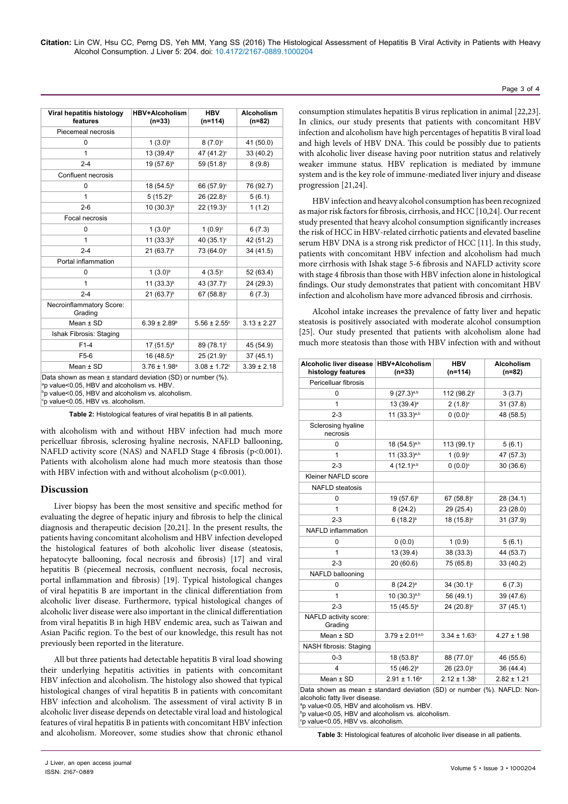**Citation:** Lin CW, Hsu CC, Perng DS, Yeh MM, Yang SS (2016) The Histological Assessment of Hepatitis B Viral Activity in Patients with Heavy Alcohol Consumption. J Liver 5: 204. doi: 10.4172/2167-0889.1000204

| Viral hepatitis histology<br>features                                                                                     | <b>HBV+Alcoholism</b><br>$(n=33)$ | <b>HBV</b><br>$(n=114)$      | <b>Alcoholism</b><br>$(n=82)$ |  |  |
|---------------------------------------------------------------------------------------------------------------------------|-----------------------------------|------------------------------|-------------------------------|--|--|
| Piecemeal necrosis                                                                                                        |                                   |                              |                               |  |  |
| 0                                                                                                                         | $1(3.0)^{b}$                      | $8(7.0)$ <sup>c</sup>        | 41 (50.0)                     |  |  |
| 1                                                                                                                         | 13 (39.4) <sup>b</sup>            | 47 (41.2) <sup>c</sup>       | 33 (40.2)                     |  |  |
| $2 - 4$                                                                                                                   | 19 (57.6) <sup>b</sup>            | 59 (51.8) <sup>c</sup>       | 8(9.8)                        |  |  |
| Confluent necrosis                                                                                                        |                                   |                              |                               |  |  |
| 0                                                                                                                         | 18 (54.5) <sup>b</sup>            | 66 (57.9) <sup>c</sup>       | 76 (92.7)                     |  |  |
| 1                                                                                                                         | $5(15.2)^{b}$                     | 26 (22.8) <sup>c</sup>       | 5(6.1)                        |  |  |
| $2 - 6$                                                                                                                   | $10(30.3)^{b}$                    | $22 (19.3)^c$                | 1(1.2)                        |  |  |
| Focal necrosis                                                                                                            |                                   |                              |                               |  |  |
| 0                                                                                                                         | $1(3.0)^{b}$                      | $1(0.9)^c$                   | 6(7.3)                        |  |  |
| 1                                                                                                                         | $11 (33.3)^b$                     | 40 (35.1) <sup>c</sup>       | 42 (51.2)                     |  |  |
| $2 - 4$                                                                                                                   | $21 (63.7)^b$                     | 73 (64.0) <sup>c</sup>       | 34 (41.5)                     |  |  |
| Portal inflammation                                                                                                       |                                   |                              |                               |  |  |
| 0                                                                                                                         | $1(3.0)^{b}$                      | 4 $(3.5)^c$                  | 52 (63.4)                     |  |  |
| 1                                                                                                                         | 11 (33.3) <sup>b</sup>            | 43 (37.7) <sup>c</sup>       | 24 (29.3)                     |  |  |
| $2 - 4$                                                                                                                   | $21 (63.7)^b$                     | 67 $(58.8)^c$                | 6(7.3)                        |  |  |
| Necroinflammatory Score:<br>Grading                                                                                       |                                   |                              |                               |  |  |
| Mean $±$ SD                                                                                                               | $6.39 \pm 2.89^{\circ}$           | $5.56 \pm 2.55$ <sup>c</sup> | $3.13 \pm 2.27$               |  |  |
| Ishak Fibrosis: Staging                                                                                                   |                                   |                              |                               |  |  |
| $F1-4$                                                                                                                    | $17(51.5)^a$                      | 89 (78.1) <sup>c</sup>       | 45 (54.9)                     |  |  |
| F <sub>5-6</sub>                                                                                                          | 16 $(48.5)^a$                     | 25 (21.9) <sup>c</sup>       | 37(45.1)                      |  |  |
| Mean $\pm$ SD                                                                                                             | $3.76 \pm 1.98$ <sup>a</sup>      | $3.08 \pm 1.72$ <sup>c</sup> | $3.39 \pm 2.18$               |  |  |
| Data shown as mean $\pm$ standard deviation (SD) or number (%).<br><sup>a</sup> p value<0.05, HBV and alcoholism vs. HBV. |                                   |                              |                               |  |  |

b p value<0.05, HBV and alcoholism vs. alcoholism. c p value<0.05, HBV vs. alcoholism.

**Table 2:** Histological features of viral hepatitis B in all patients.

with alcoholism with and without HBV infection had much more pericelluar fibrosis, sclerosing hyaline necrosis, NAFLD ballooning, NAFLD activity score (NAS) and NAFLD Stage 4 fibrosis (p<0.001). Patients with alcoholism alone had much more steatosis than those with HBV infection with and without alcoholism (p<0.001).

## **Discussion**

Liver biopsy has been the most sensitive and specific method for evaluating the degree of hepatic injury and fibrosis to help the clinical diagnosis and therapeutic decision [20,21]. In the present results, the patients having concomitant alcoholism and HBV infection developed the histological features of both alcoholic liver disease (steatosis, hepatocyte ballooning, focal necrosis and fibrosis) [17] and viral hepatitis B (piecemeal necrosis, confluent necrosis, focal necrosis, portal inflammation and fibrosis) [19]. Typical histological changes of viral hepatitis B are important in the clinical differentiation from alcoholic liver disease. Furthermore, typical histological changes of alcoholic liver disease were also important in the clinical differentiation from viral hepatitis B in high HBV endemic area, such as Taiwan and Asian Pacific region. To the best of our knowledge, this result has not previously been reported in the literature.

All but three patients had detectable hepatitis B viral load showing their underlying hepatitis activities in patients with concomitant HBV infection and alcoholism. The histology also showed that typical histological changes of viral hepatitis B in patients with concomitant HBV infection and alcoholism. The assessment of viral activity B in alcoholic liver disease depends on detectable viral load and histological features of viral hepatitis B in patients with concomitant HBV infection and alcoholism. Moreover, some studies show that chronic ethanol

consumption stimulates hepatitis B virus replication in animal [22,23]. In clinics, our study presents that patients with concomitant HBV infection and alcoholism have high percentages of hepatitis B viral load and high levels of HBV DNA. This could be possibly due to patients with alcoholic liver disease having poor nutrition status and relatively weaker immune status. HBV replication is mediated by immune system and is the key role of immune-mediated liver injury and disease progression [21,24].

Page 3 of 4

HBV infection and heavy alcohol consumption has been recognized as major risk factors for fibrosis, cirrhosis, and HCC [10,24]. Our recent study presented that heavy alcohol consumption significantly increases the risk of HCC in HBV-related cirrhotic patients and elevated baseline serum HBV DNA is a strong risk predictor of HCC [11]. In this study, patients with concomitant HBV infection and alcoholism had much more cirrhosis with Ishak stage 5-6 fibrosis and NAFLD activity score with stage 4 fibrosis than those with HBV infection alone in histological findings. Our study demonstrates that patient with concomitant HBV infection and alcoholism have more advanced fibrosis and cirrhosis.

Alcohol intake increases the prevalence of fatty liver and hepatic steatosis is positively associated with moderate alcohol consumption [25]. Our study presented that patients with alcoholism alone had much more steatosis than those with HBV infection with and without

| Alcoholic liver disease HBV+Alcoholism<br>histology features            | $(n=33)$                 | <b>HBV</b><br>$(n=114)$      | <b>Alcoholism</b><br>$(n=82)$ |  |  |
|-------------------------------------------------------------------------|--------------------------|------------------------------|-------------------------------|--|--|
| Pericelluar fibrosis                                                    |                          |                              |                               |  |  |
| 0                                                                       | $9(27.3)^{a,b}$          | 112 (98.2) <sup>c</sup>      | 3(3.7)                        |  |  |
| 1                                                                       | 13 (39.4) <sup>a</sup>   | $2(1.8)^c$                   | 31 (37.8)                     |  |  |
| $2 - 3$                                                                 | 11 (33.3) <sup>a,b</sup> | $0(0.0)^c$                   | 48 (58.5)                     |  |  |
| Sclerosing hyaline<br>necrosis                                          |                          |                              |                               |  |  |
| 0                                                                       | $18(54.5)^{a,b}$         | 113 (99.1) <sup>c</sup>      | 5(6.1)                        |  |  |
| 1                                                                       | 11 (33.3)a,b             | $1(0.9)^c$                   | 47 (57.3)                     |  |  |
| $2 - 3$                                                                 | 4 $(12.1)^{a,b}$         | $0(0.0)^c$                   | 30(36.6)                      |  |  |
| Kleiner NAFLD score                                                     |                          |                              |                               |  |  |
| <b>NAFLD</b> steatosis                                                  |                          |                              |                               |  |  |
| 0                                                                       | 19 (57.6) <sup>b</sup>   | 67 $(58.8)^c$                | 28 (34.1)                     |  |  |
| 1                                                                       | 8(24.2)                  | 29 (25.4)                    | 23 (28.0)                     |  |  |
| $2 - 3$                                                                 | $6(18.2)^{b}$            | 18 (15.8) <sup>c</sup>       | 31 (37.9)                     |  |  |
| <b>NAFLD</b> inflammation                                               |                          |                              |                               |  |  |
| 0                                                                       | (0.0)                    | 1(0.9)                       | 5(6.1)                        |  |  |
| 1                                                                       | 13 (39.4)                | 38 (33.3)                    | 44 (53.7)                     |  |  |
| $2 - 3$                                                                 | 20 (60.6)                | 75 (65.8)                    | 33 (40.2)                     |  |  |
| NAFLD ballooning                                                        |                          |                              |                               |  |  |
| 0                                                                       | $8(24.2)^a$              | $34(30.1)^c$                 | 6(7.3)                        |  |  |
| 1                                                                       | 10 (30.3)a,b             | 56 (49.1)                    | 39 (47.6)                     |  |  |
| $2 - 3$                                                                 | $15(45.5)^a$             | 24 (20.8) <sup>c</sup>       | 37(45.1)                      |  |  |
| NAFLD activity score:<br>Grading                                        |                          |                              |                               |  |  |
| Mean $±$ SD                                                             | $3.79 \pm 2.01^{a,b}$    | $3.34 \pm 1.63$ <sup>c</sup> | $4.27 \pm 1.98$               |  |  |
| NASH fibrosis: Staging                                                  |                          |                              |                               |  |  |
| $0 - 3$                                                                 | 18 (53.8) <sup>a</sup>   | 88 (77.0) <sup>c</sup>       | 46 (55.6)                     |  |  |
| 4                                                                       | 15 (46.2) <sup>a</sup>   | 26 (23.0) <sup>c</sup>       | 36 (44.4)                     |  |  |
| Mean $±$ SD                                                             | $2.91 \pm 1.16^a$        | $2.12 \pm 1.38$ <sup>c</sup> | $2.82 \pm 1.21$               |  |  |
| Data shown as mean ± standard deviation (SD) or number (%). NAFLD: Non- |                          |                              |                               |  |  |

alcoholic fatty liver disease.

a p value<0.05, HBV and alcoholism vs. HBV.

b p value<0.05, HBV and alcoholism vs. alcoholism.

c p value<0.05, HBV vs. alcoholism.

**Table 3:** Histological features of alcoholic liver disease in all patients.